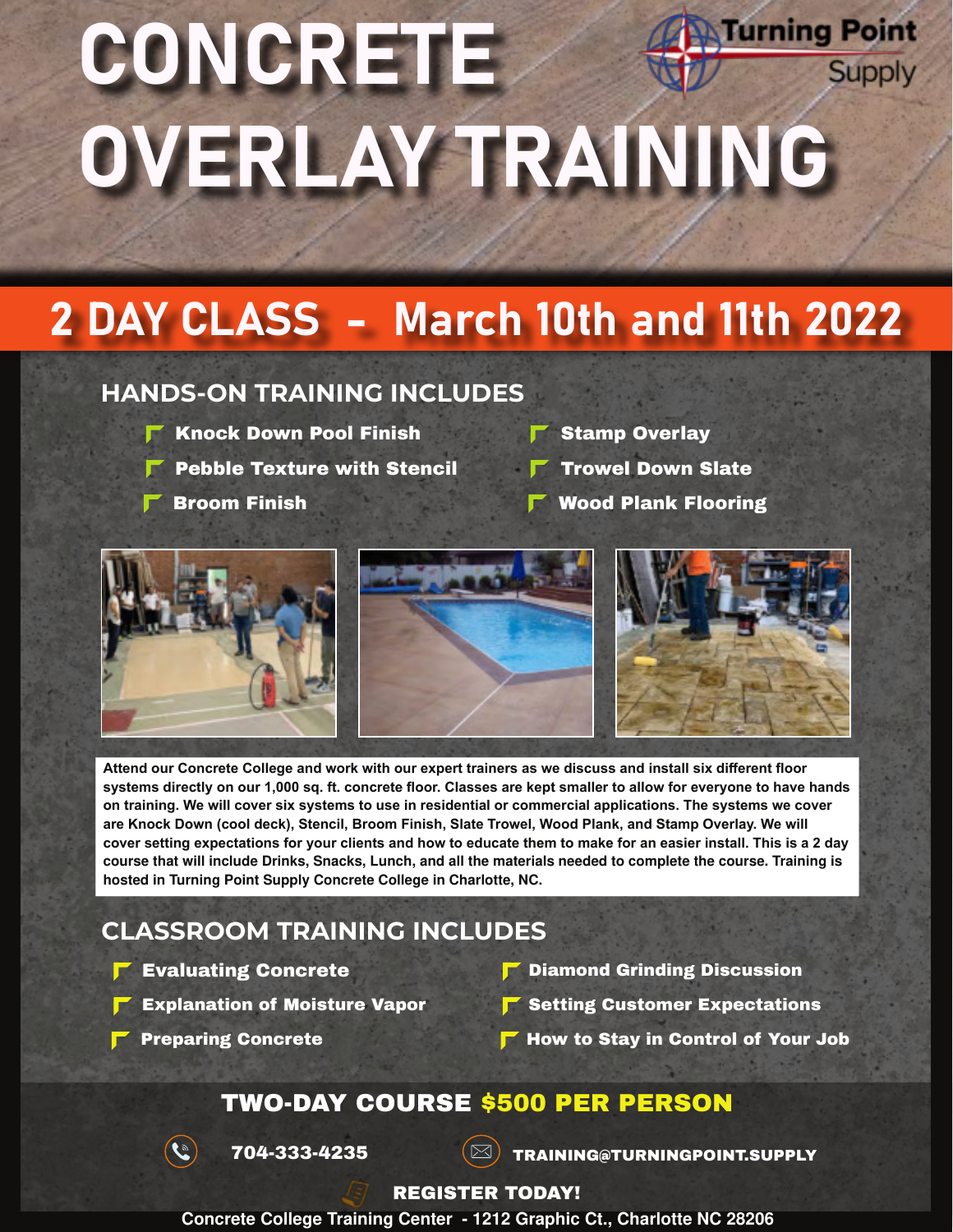# **Turning Point** CONCRETE **Supply** OVERLAY TRAINING

# 2 DAY CLASS - March 10th and 11th 2022

### **HANDS-ON TRAINING INCLUDES**

- Knock Down Pool Finish **F** Stamp Overlay
- Pebble Texture with Stencil  $\blacksquare$  Trowel Down Slate

- 
- 
- Broom Finish **F** Wood Plank Flooring



**Attend our Concrete College and work with our expert trainers as we discuss and install six different floor systems directly on our 1,000 sq. ft. concrete floor. Classes are kept smaller to allow for everyone to have hands on training. We will cover six systems to use in residential or commercial applications. The systems we cover are Knock Down (cool deck), Stencil, Broom Finish, Slate Trowel, Wood Plank, and Stamp Overlay. We will cover setting expectations for your clients and how to educate them to make for an easier install. This is a 2 day course that will include Drinks, Snacks, Lunch, and all the materials needed to complete the course. Training is hosted in Turning Point Supply Concrete College in Charlotte, NC.**

### **CLASSROOM TRAINING INCLUDES**

- **F** Evaluating Concrete
	- Explanation of Moisture Vapor
- **P** Diamond Grinding Discussion
- Setting Customer Expectations
- Preparing Concrete  $\blacksquare$  How to Stay in Control of Your Job

### TWO-DAY COURSE \$500 PER PERSON



 $\overline{704}$ -333-4235  $\overline{\text{S}}$  Training@Turningpoint.supply

#### REGISTER TODAY!

**Concrete College Training Center - 1212 Graphic Ct., Charlotte NC 28206**